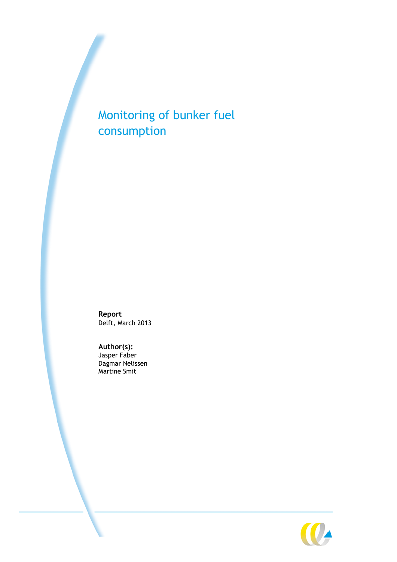Monitoring of bunker fuel consumption

**Report** Delft, March 2013

**Author(s):** Jasper Faber Dagmar Nelissen Martine Smit

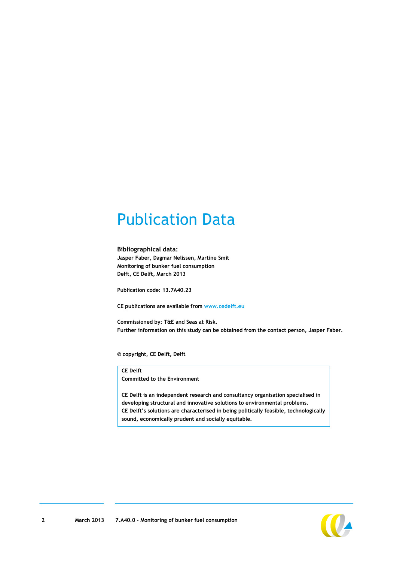# Publication Data

#### **Bibliographical data:**

**Jasper Faber, Dagmar Nelissen, Martine Smit Monitoring of bunker fuel consumption Delft, CE Delft, March 2013**

**Publication code: 13.7A40.23**

**CE publications are available from [www.cedelft.eu](http://www.cedelft.eu/)**

**Commissioned by: T&E and Seas at Risk. Further information on this study can be obtained from the contact person, Jasper Faber.**

**© copyright, CE Delft, Delft**

**CE Delft**

**Committed to the Environment**

**CE Delft is an independent research and consultancy organisation specialised in developing structural and innovative solutions to environmental problems. CE Delft's solutions are characterised in being politically feasible, technologically sound, economically prudent and socially equitable.**

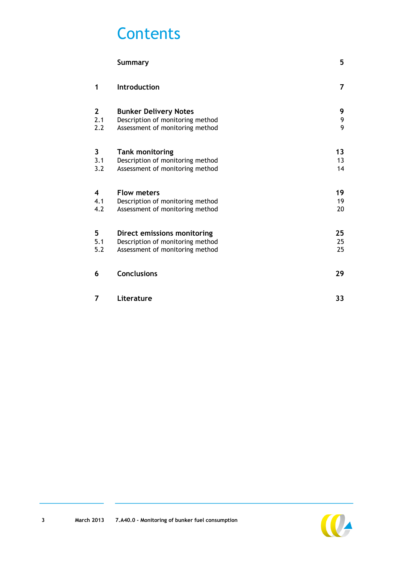# **Contents**

|                | <b>Summary</b>                   | 5  |
|----------------|----------------------------------|----|
| 1              | Introduction                     | 7  |
| $\overline{2}$ | <b>Bunker Delivery Notes</b>     | 9  |
| 2.1            | Description of monitoring method | 9  |
| 2.2            | Assessment of monitoring method  | 9  |
| 3              | <b>Tank monitoring</b>           | 13 |
| 3.1            | Description of monitoring method | 13 |
| 3.2            | Assessment of monitoring method  | 14 |
| 4              | <b>Flow meters</b>               | 19 |
| 4.1            | Description of monitoring method | 19 |
| 4.2            | Assessment of monitoring method  | 20 |
| 5              | Direct emissions monitoring      | 25 |
| 5.1            | Description of monitoring method | 25 |
| 5.2            | Assessment of monitoring method  | 25 |
| 6              | <b>Conclusions</b>               | 29 |
| 7              | Literature                       | 33 |

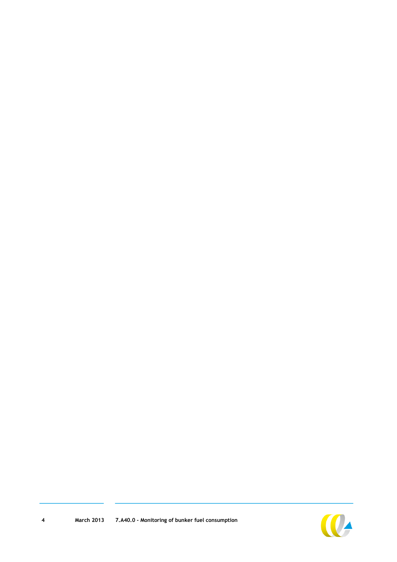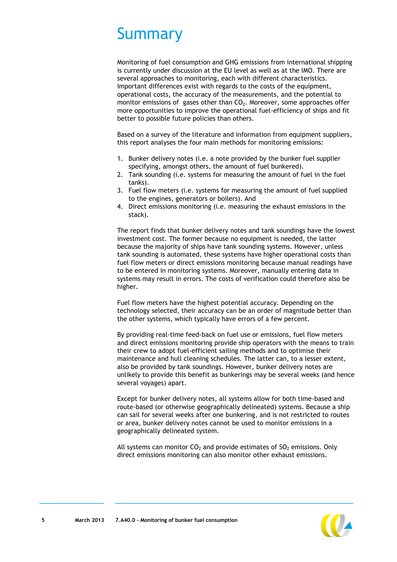# <span id="page-4-0"></span>Summary

Monitoring of fuel consumption and GHG emissions from international shipping is currently under discussion at the EU level as well as at the IMO. There are several approaches to monitoring, each with different characteristics. Important differences exist with regards to the costs of the equipment, operational costs, the accuracy of the measurements, and the potential to monitor emissions of gases other than  $CO<sub>2</sub>$ . Moreover, some approaches offer more opportunities to improve the operational fuel-efficiency of ships and fit better to possible future policies than others.

Based on a survey of the literature and information from equipment suppliers, this report analyses the four main methods for monitoring emissions:

- 1. Bunker delivery notes (i.e. a note provided by the bunker fuel supplier specifying, amongst others, the amount of fuel bunkered).
- 2. Tank sounding (i.e. systems for measuring the amount of fuel in the fuel tanks).
- 3. Fuel flow meters (i.e. systems for measuring the amount of fuel supplied to the engines, generators or boilers). And
- 4. Direct emissions monitoring (i.e. measuring the exhaust emissions in the stack).

The report finds that bunker delivery notes and tank soundings have the lowest investment cost. The former because no equipment is needed, the latter because the majority of ships have tank sounding systems. However, unless tank sounding is automated, these systems have higher operational costs than fuel flow meters or direct emissions monitoring because manual readings have to be entered in monitoring systems. Moreover, manually entering data in systems may result in errors. The costs of verification could therefore also be higher.

Fuel flow meters have the highest potential accuracy. Depending on the technology selected, their accuracy can be an order of magnitude better than the other systems, which typically have errors of a few percent.

By providing real-time feed-back on fuel use or emissions, fuel flow meters and direct emissions monitoring provide ship operators with the means to train their crew to adopt fuel-efficient sailing methods and to optimise their maintenance and hull cleaning schedules. The latter can, to a lesser extent, also be provided by tank soundings. However, bunker delivery notes are unlikely to provide this benefit as bunkerings may be several weeks (and hence several voyages) apart.

Except for bunker delivery notes, all systems allow for both time-based and route-based (or otherwise geographically delineated) systems. Because a ship can sail for several weeks after one bunkering, and is not restricted to routes or area, bunker delivery notes cannot be used to monitor emissions in a geographically delineated system.

All systems can monitor  $CO<sub>2</sub>$  and provide estimates of  $SO<sub>2</sub>$  emissions. Only direct emissions monitoring can also monitor other exhaust emissions.

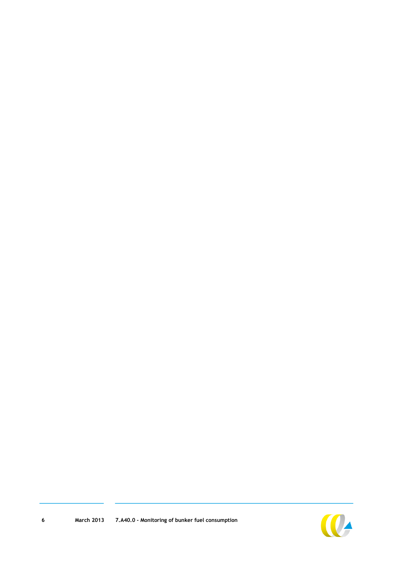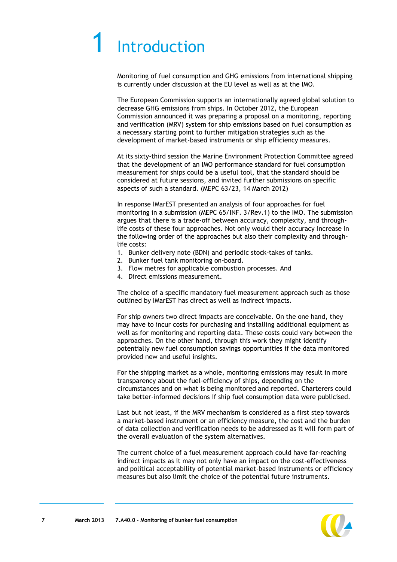# <span id="page-6-0"></span>**Introduction**

Monitoring of fuel consumption and GHG emissions from international shipping is currently under discussion at the EU level as well as at the IMO.

The European Commission supports an internationally agreed global solution to decrease GHG emissions from ships. In October 2012, the European Commission announced it was preparing a proposal on a monitoring, reporting and verification (MRV) system for ship emissions based on fuel consumption as a necessary starting point to further mitigation strategies such as the development of market-based instruments or ship efficiency measures.

At its sixty-third session the Marine Environment Protection Committee agreed that the development of an IMO performance standard for fuel consumption measurement for ships could be a useful tool, that the standard should be considered at future sessions, and invited further submissions on specific aspects of such a standard. (MEPC 63/23, 14 March 2012)

In response IMarEST presented an analysis of four approaches for fuel monitoring in a submission (MEPC 65/INF. 3/Rev.1) to the IMO. The submission argues that there is a trade-off between accuracy, complexity, and throughlife costs of these four approaches. Not only would their accuracy increase in the following order of the approaches but also their complexity and throughlife costs:

- 1. Bunker delivery note (BDN) and periodic stock-takes of tanks.
- 2. Bunker fuel tank monitoring on-board.
- 3. Flow metres for applicable combustion processes. And
- 4. Direct emissions measurement.

The choice of a specific mandatory fuel measurement approach such as those outlined by IMarEST has direct as well as indirect impacts.

For ship owners two direct impacts are conceivable. On the one hand, they may have to incur costs for purchasing and installing additional equipment as well as for monitoring and reporting data. These costs could vary between the approaches. On the other hand, through this work they might identify potentially new fuel consumption savings opportunities if the data monitored provided new and useful insights.

For the shipping market as a whole, monitoring emissions may result in more transparency about the fuel-efficiency of ships, depending on the circumstances and on what is being monitored and reported. Charterers could take better-informed decisions if ship fuel consumption data were publicised.

Last but not least, if the MRV mechanism is considered as a first step towards a market-based instrument or an efficiency measure, the cost and the burden of data collection and verification needs to be addressed as it will form part of the overall evaluation of the system alternatives.

The current choice of a fuel measurement approach could have far-reaching indirect impacts as it may not only have an impact on the cost-effectiveness and political acceptability of potential market-based instruments or efficiency measures but also limit the choice of the potential future instruments.

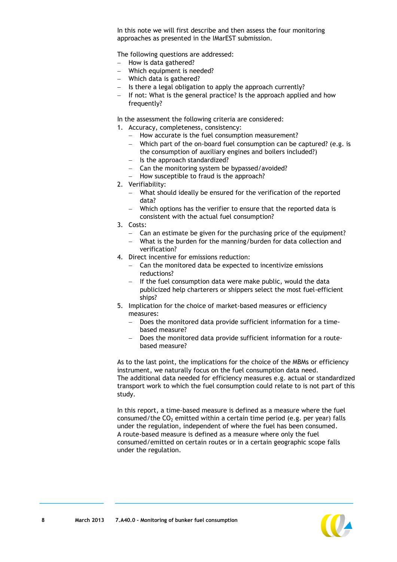In this note we will first describe and then assess the four monitoring approaches as presented in the IMarEST submission.

The following questions are addressed:

- How is data gathered?
- Which equipment is needed?
- Which data is gathered?
- $-$  Is there a legal obligation to apply the approach currently?
- If not: What is the general practice? Is the approach applied and how frequently?

In the assessment the following criteria are considered:

- 1. Accuracy, completeness, consistency:
	- $-$  How accurate is the fuel consumption measurement?
	- Which part of the on-board fuel consumption can be captured? (e.g. is
	- the consumption of auxiliary engines and boilers included?)
	- $-$  Is the approach standardized?
	- Can the monitoring system be bypassed/avoided?
	- How susceptible to fraud is the approach?
- 2. Verifiability:
	- What should ideally be ensured for the verification of the reported data?
	- Which options has the verifier to ensure that the reported data is consistent with the actual fuel consumption?
- 3. Costs:
	- Can an estimate be given for the purchasing price of the equipment?
	- What is the burden for the manning/burden for data collection and verification?
- 4. Direct incentive for emissions reduction:
	- Can the monitored data be expected to incentivize emissions reductions?
	- $-I$  If the fuel consumption data were make public, would the data publicized help charterers or shippers select the most fuel-efficient ships?
- 5. Implication for the choice of market-based measures or efficiency measures:
	- Does the monitored data provide sufficient information for a timebased measure?
	- Does the monitored data provide sufficient information for a routebased measure?

As to the last point, the implications for the choice of the MBMs or efficiency instrument, we naturally focus on the fuel consumption data need. The additional data needed for efficiency measures e.g. actual or standardized transport work to which the fuel consumption could relate to is not part of this study.

In this report, a time-based measure is defined as a measure where the fuel consumed/the  $CO<sub>2</sub>$  emitted within a certain time period (e.g. per year) falls under the regulation, independent of where the fuel has been consumed. A route-based measure is defined as a measure where only the fuel consumed/emitted on certain routes or in a certain geographic scope falls under the regulation.

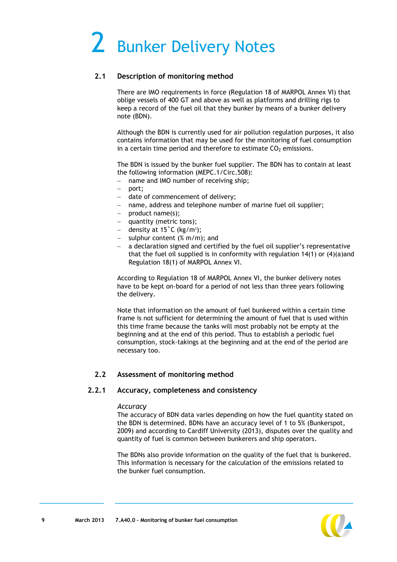# <span id="page-8-1"></span><span id="page-8-0"></span>**2.1 Description of monitoring method**

There are IMO requirements in force (Regulation 18 of MARPOL Annex VI) that oblige vessels of 400 GT and above as well as platforms and drilling rigs to keep a record of the fuel oil that they bunker by means of a bunker delivery note (BDN).

Although the BDN is currently used for air pollution regulation purposes, it also contains information that may be used for the monitoring of fuel consumption in a certain time period and therefore to estimate  $CO<sub>2</sub>$  emissions.

The BDN is issued by the bunker fuel supplier. The BDN has to contain at least the following information (MEPC.1/Circ.508):

- name and IMO number of receiving ship;
- port;
- $-$  date of commencement of delivery;
- name, address and telephone number of marine fuel oil supplier;
- product name(s);
- $-$  quantity (metric tons);
- density at 15 $^{\circ}$ C (kg/m<sup>3</sup>);
- sulphur content  $(\frac{9}{8} \text{ m/m})$ ; and
- a declaration signed and certified by the fuel oil supplier's representative that the fuel oil supplied is in conformity with regulation 14(1) or (4)(a)and Regulation 18(1) of MARPOL Annex VI.

According to Regulation 18 of MARPOL Annex VI, the bunker delivery notes have to be kept on-board for a period of not less than three years following the delivery.

Note that information on the amount of fuel bunkered within a certain time frame is not sufficient for determining the amount of fuel that is used within this time frame because the tanks will most probably not be empty at the beginning and at the end of this period. Thus to establish a periodic fuel consumption, stock-takings at the beginning and at the end of the period are necessary too.

# <span id="page-8-2"></span>**2.2 Assessment of monitoring method**

# **2.2.1 Accuracy, completeness and consistency**

#### *Accuracy*

The accuracy of BDN data varies depending on how the fuel quantity stated on the BDN is determined. BDNs have an accuracy level of 1 to 5% (Bunkerspot, 2009) and according to Cardiff University (2013), disputes over the quality and quantity of fuel is common between bunkerers and ship operators.

The BDNs also provide information on the quality of the fuel that is bunkered. This information is necessary for the calculation of the emissions related to the bunker fuel consumption.

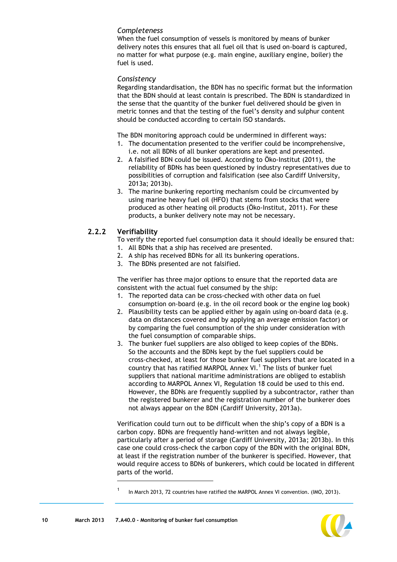#### *Completeness*

When the fuel consumption of vessels is monitored by means of bunker delivery notes this ensures that all fuel oil that is used on-board is captured, no matter for what purpose (e.g. main engine, auxiliary engine, boiler) the fuel is used.

#### *Consistency*

Regarding standardisation, the BDN has no specific format but the information that the BDN should at least contain is prescribed. The BDN is standardized in the sense that the quantity of the bunker fuel delivered should be given in metric tonnes and that the testing of the fuel's density and sulphur content should be conducted according to certain ISO standards.

The BDN monitoring approach could be undermined in different ways:

- 1. The documentation presented to the verifier could be incomprehensive, i.e. not all BDNs of all bunker operations are kept and presented.
- 2. A falsified BDN could be issued. According to Öko-Institut (2011), the reliability of BDNs has been questioned by industry representatives due to possibilities of corruption and falsification (see also Cardiff University, 2013a; 2013b).
- 3. The marine bunkering reporting mechanism could be circumvented by using marine heavy fuel oil (HFO) that stems from stocks that were produced as other heating oil products (Öko-Institut, 2011). For these products, a bunker delivery note may not be necessary.

# **2.2.2 Verifiability**

To verify the reported fuel consumption data it should ideally be ensured that:

- 1. All BDNs that a ship has received are presented.
- 2. A ship has received BDNs for all its bunkering operations.
- 3. The BDNs presented are not falsified.

The verifier has three major options to ensure that the reported data are consistent with the actual fuel consumed by the ship:

- 1. The reported data can be cross-checked with other data on fuel consumption on-board (e.g. in the oil record book or the engine log book)
- 2. Plausibility tests can be applied either by again using on-board data (e.g. data on distances covered and by applying an average emission factor) or by comparing the fuel consumption of the ship under consideration with the fuel consumption of comparable ships.
- 3. The bunker fuel suppliers are also obliged to keep copies of the BDNs. So the accounts and the BDNs kept by the fuel suppliers could be cross-checked, at least for those bunker fuel suppliers that are located in a country that has ratified MARPOL Annex VI.<sup>1</sup> The lists of bunker fuel suppliers that national maritime administrations are obliged to establish according to MARPOL Annex VI, Regulation 18 could be used to this end. However, the BDNs are frequently supplied by a subcontractor, rather than the registered bunkerer and the registration number of the bunkerer does not always appear on the BDN (Cardiff University, 2013a).

Verification could turn out to be difficult when the ship's copy of a BDN is a carbon copy. BDNs are frequently hand-written and not always legible, particularly after a period of storage (Cardiff University, 2013a; 2013b). In this case one could cross-check the carbon copy of the BDN with the original BDN, at least if the registration number of the bunkerer is specified. However, that would require access to BDNs of bunkerers, which could be located in different parts of the world.

-



<sup>1</sup> In March 2013, 72 countries have ratified the MARPOL Annex VI convention. (IMO, 2013).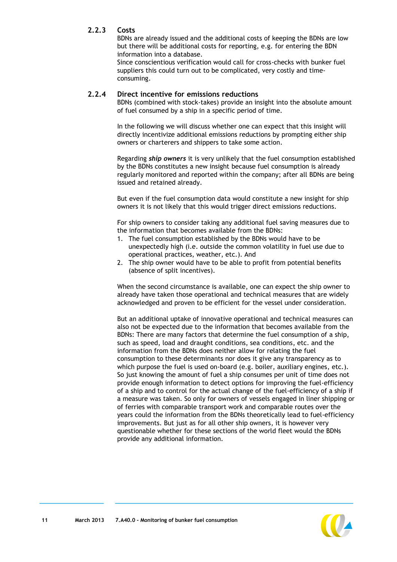# **2.2.3 Costs**

BDNs are already issued and the additional costs of keeping the BDNs are low but there will be additional costs for reporting, e.g. for entering the BDN information into a database.

Since conscientious verification would call for cross-checks with bunker fuel suppliers this could turn out to be complicated, very costly and timeconsuming.

#### <span id="page-10-0"></span>**2.2.4 Direct incentive for emissions reductions**

BDNs (combined with stock-takes) provide an insight into the absolute amount of fuel consumed by a ship in a specific period of time.

In the following we will discuss whether one can expect that this insight will directly incentivize additional emissions reductions by prompting either ship owners or charterers and shippers to take some action.

Regarding *ship owners* it is very unlikely that the fuel consumption established by the BDNs constitutes a new insight because fuel consumption is already regularly monitored and reported within the company; after all BDNs are being issued and retained already.

But even if the fuel consumption data would constitute a new insight for ship owners it is not likely that this would trigger direct emissions reductions.

For ship owners to consider taking any additional fuel saving measures due to the information that becomes available from the BDNs:

- 1. The fuel consumption established by the BDNs would have to be unexpectedly high (i.e. outside the common volatility in fuel use due to operational practices, weather, etc.). And
- 2. The ship owner would have to be able to profit from potential benefits (absence of split incentives).

When the second circumstance is available, one can expect the ship owner to already have taken those operational and technical measures that are widely acknowledged and proven to be efficient for the vessel under consideration.

But an additional uptake of innovative operational and technical measures can also not be expected due to the information that becomes available from the BDNs: There are many factors that determine the fuel consumption of a ship, such as speed, load and draught conditions, sea conditions, etc. and the information from the BDNs does neither allow for relating the fuel consumption to these determinants nor does it give any transparency as to which purpose the fuel is used on-board (e.g. boiler, auxiliary engines, etc.). So just knowing the amount of fuel a ship consumes per unit of time does not provide enough information to detect options for improving the fuel-efficiency of a ship and to control for the actual change of the fuel-efficiency of a ship if a measure was taken. So only for owners of vessels engaged in liner shipping or of ferries with comparable transport work and comparable routes over the years could the information from the BDNs theoretically lead to fuel-efficiency improvements. But just as for all other ship owners, it is however very questionable whether for these sections of the world fleet would the BDNs provide any additional information.

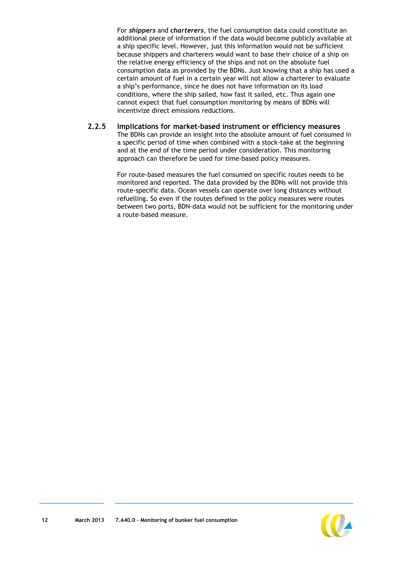For *shippers* and *charterers*, the fuel consumption data could constitute an additional piece of information if the data would become publicly available at a ship specific level. However, just this information would not be sufficient because shippers and charterers would want to base their choice of a ship on the relative energy efficiency of the ships and not on the absolute fuel consumption data as provided by the BDNs. Just knowing that a ship has used a certain amount of fuel in a certain year will not allow a charterer to evaluate a ship's performance, since he does not have information on its load conditions, where the ship sailed, how fast it sailed, etc. Thus again one cannot expect that fuel consumption monitoring by means of BDNs will incentivize direct emissions reductions.

#### **2.2.5 Implications for market-based instrument or efficiency measures** The BDNs can provide an insight into the absolute amount of fuel consumed in a specific period of time when combined with a stock-take at the beginning and at the end of the time period under consideration. This monitoring approach can therefore be used for time-based policy measures.

For route-based measures the fuel consumed on specific routes needs to be monitored and reported. The data provided by the BDNs will not provide this route-specific data. Ocean vessels can operate over long distances without refuelling. So even if the routes defined in the policy measures were routes between two ports, BDN-data would not be sufficient for the monitoring under a route-based measure.

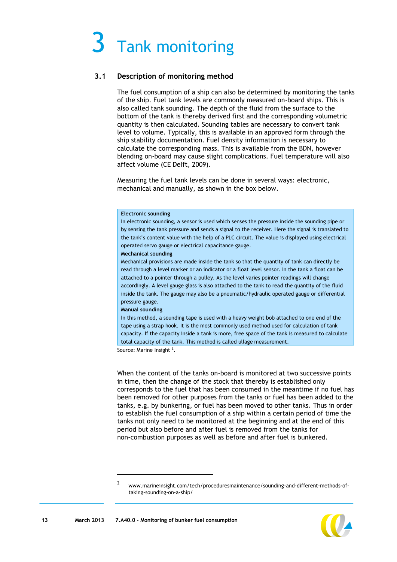#### <span id="page-12-1"></span><span id="page-12-0"></span>**3.1 Description of monitoring method**

The fuel consumption of a ship can also be determined by monitoring the tanks of the ship. Fuel tank levels are commonly measured on-board ships. This is also called tank sounding. The depth of the fluid from the surface to the bottom of the tank is thereby derived first and the corresponding volumetric quantity is then calculated. Sounding tables are necessary to convert tank level to volume. Typically, this is available in an approved form through the ship stability documentation. Fuel density information is necessary to calculate the corresponding mass. This is available from the BDN, however blending on-board may cause slight complications. Fuel temperature will also affect volume (CE Delft, 2009).

Measuring the fuel tank levels can be done in several ways: electronic, mechanical and manually, as shown in the box below.

#### **Electronic sounding**

In electronic sounding, a sensor is used which senses the pressure inside the sounding pipe or by sensing the tank pressure and sends a signal to the receiver. Here the signal is translated to the tank's content value with the help of a PLC circuit. The value is displayed using electrical operated servo gauge or electrical capacitance gauge.

**Mechanical sounding**

Mechanical provisions are made inside the tank so that the quantity of tank can directly be read through a level marker or an indicator or a float level sensor. In the tank a float can be attached to a pointer through a pulley. As the level varies pointer readings will change accordingly. A level gauge glass is also attached to the tank to read the quantity of the fluid inside the tank. The gauge may also be a pneumatic/hydraulic operated gauge or differential pressure gauge.

#### **Manual sounding**

In this method, a sounding tape is used with a heavy weight bob attached to one end of the tape using a strap hook. It is the most commonly used method used for calculation of tank capacity. If the capacity inside a tank is more, free space of the tank is measured to calculate total capacity of the tank. This method is called ullage measurement.

Source: Marine Insight  $2$ .

When the content of the tanks on-board is monitored at two successive points in time, then the change of the stock that thereby is established only corresponds to the fuel that has been consumed in the meantime if no fuel has been removed for other purposes from the tanks or fuel has been added to the tanks, e.g. by bunkering, or fuel has been moved to other tanks. Thus in order to establish the fuel consumption of a ship within a certain period of time the tanks not only need to be monitored at the beginning and at the end of this period but also before and after fuel is removed from the tanks for non-combustion purposes as well as before and after fuel is bunkered.

 $\overline{a}$ 

<sup>2</sup> www.marineinsight.com/tech/proceduresmaintenance/sounding-and-different-methods-oftaking-sounding-on-a-ship/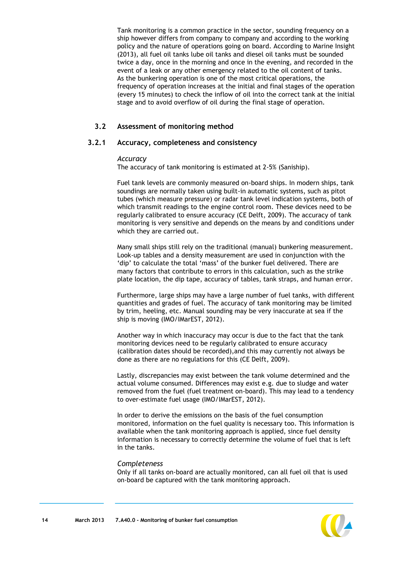Tank monitoring is a common practice in the sector, sounding frequency on a ship however differs from company to company and according to the working policy and the nature of operations going on board. According to Marine Insight (2013), all fuel oil tanks lube oil tanks and diesel oil tanks must be sounded twice a day, once in the morning and once in the evening, and recorded in the event of a leak or any other emergency related to the oil content of tanks. As the bunkering operation is one of the most critical operations, the frequency of operation increases at the initial and final stages of the operation (every 15 minutes) to check the inflow of oil into the correct tank at the initial stage and to avoid overflow of oil during the final stage of operation.

#### <span id="page-13-0"></span>**3.2 Assessment of monitoring method**

#### **3.2.1 Accuracy, completeness and consistency**

#### *Accuracy*

The accuracy of tank monitoring is estimated at 2-5% (Saniship).

Fuel tank levels are commonly measured on-board ships. In modern ships, tank soundings are normally taken using built-in automatic systems, such as pitot tubes (which measure pressure) or radar tank level indication systems, both of which transmit readings to the engine control room. These devices need to be regularly calibrated to ensure accuracy (CE Delft, 2009). The accuracy of tank monitoring is very sensitive and depends on the means by and conditions under which they are carried out.

Many small ships still rely on the traditional (manual) bunkering measurement. Look-up tables and a density measurement are used in conjunction with the 'dip' to calculate the total 'mass' of the bunker fuel delivered. There are many factors that contribute to errors in this calculation, such as the strike plate location, the dip tape, accuracy of tables, tank straps, and human error.

Furthermore, large ships may have a large number of fuel tanks, with different quantities and grades of fuel. The accuracy of tank monitoring may be limited by trim, heeling, etc. Manual sounding may be very inaccurate at sea if the ship is moving (IMO/IMarEST, 2012).

Another way in which inaccuracy may occur is due to the fact that the tank monitoring devices need to be regularly calibrated to ensure accuracy (calibration dates should be recorded),and this may currently not always be done as there are no regulations for this (CE Delft, 2009).

Lastly, discrepancies may exist between the tank volume determined and the actual volume consumed. Differences may exist e.g. due to sludge and water removed from the fuel (fuel treatment on-board). This may lead to a tendency to over-estimate fuel usage (IMO/IMarEST, 2012).

In order to derive the emissions on the basis of the fuel consumption monitored, information on the fuel quality is necessary too. This information is available when the tank monitoring approach is applied, since fuel density information is necessary to correctly determine the volume of fuel that is left in the tanks.

#### *Completeness*

Only if all tanks on-board are actually monitored, can all fuel oil that is used on-board be captured with the tank monitoring approach.

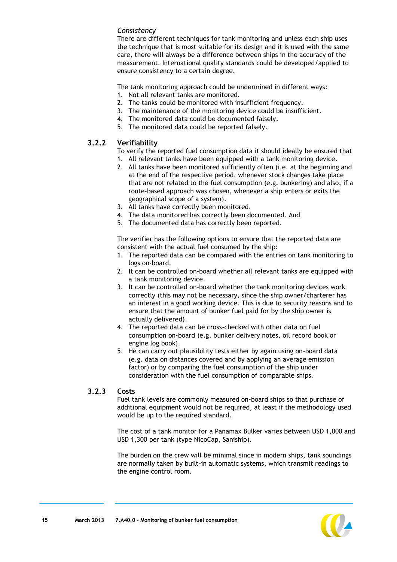### *Consistency*

There are different techniques for tank monitoring and unless each ship uses the technique that is most suitable for its design and it is used with the same care, there will always be a difference between ships in the accuracy of the measurement. International quality standards could be developed/applied to ensure consistency to a certain degree.

The tank monitoring approach could be undermined in different ways:

- 1. Not all relevant tanks are monitored.
- 2. The tanks could be monitored with insufficient frequency.
- 3. The maintenance of the monitoring device could be insufficient.
- 4. The monitored data could be documented falsely.
- 5. The monitored data could be reported falsely.

# **3.2.2 Verifiability**

- To verify the reported fuel consumption data it should ideally be ensured that
- 1. All relevant tanks have been equipped with a tank monitoring device.
- 2. All tanks have been monitored sufficiently often (i.e. at the beginning and at the end of the respective period, whenever stock changes take place that are not related to the fuel consumption (e.g. bunkering) and also, if a route-based approach was chosen, whenever a ship enters or exits the geographical scope of a system).
- 3. All tanks have correctly been monitored.
- 4. The data monitored has correctly been documented. And
- 5. The documented data has correctly been reported.

The verifier has the following options to ensure that the reported data are consistent with the actual fuel consumed by the ship:

- 1. The reported data can be compared with the entries on tank monitoring to logs on-board.
- 2. It can be controlled on-board whether all relevant tanks are equipped with a tank monitoring device.
- 3. It can be controlled on-board whether the tank monitoring devices work correctly (this may not be necessary, since the ship owner/charterer has an interest in a good working device. This is due to security reasons and to ensure that the amount of bunker fuel paid for by the ship owner is actually delivered).
- 4. The reported data can be cross-checked with other data on fuel consumption on-board (e.g. bunker delivery notes, oil record book or engine log book).
- 5. He can carry out plausibility tests either by again using on-board data (e.g. data on distances covered and by applying an average emission factor) or by comparing the fuel consumption of the ship under consideration with the fuel consumption of comparable ships.

# **3.2.3 Costs**

Fuel tank levels are commonly measured on-board ships so that purchase of additional equipment would not be required, at least if the methodology used would be up to the required standard.

The cost of a tank monitor for a Panamax Bulker varies between USD 1,000 and USD 1,300 per tank (type NicoCap, Saniship).

The burden on the crew will be minimal since in modern ships, tank soundings are normally taken by built-in automatic systems, which transmit readings to the engine control room.

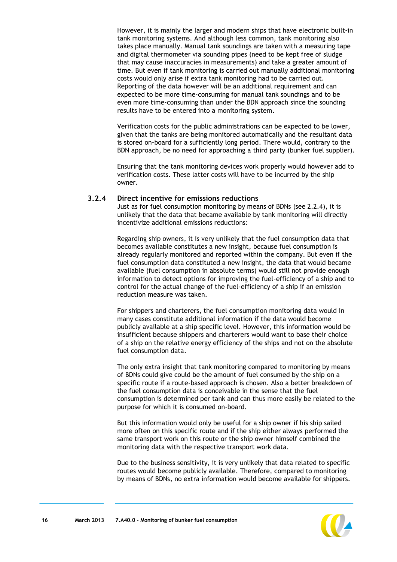However, it is mainly the larger and modern ships that have electronic built-in tank monitoring systems. And although less common, tank monitoring also takes place manually. Manual tank soundings are taken with a measuring tape and digital thermometer via sounding pipes (need to be kept free of sludge that may cause inaccuracies in measurements) and take a greater amount of time. But even if tank monitoring is carried out manually additional monitoring costs would only arise if extra tank monitoring had to be carried out. Reporting of the data however will be an additional requirement and can expected to be more time-consuming for manual tank soundings and to be even more time-consuming than under the BDN approach since the sounding results have to be entered into a monitoring system.

Verification costs for the public administrations can be expected to be lower, given that the tanks are being monitored automatically and the resultant data is stored on-board for a sufficiently long period. There would, contrary to the BDN approach, be no need for approaching a third party (bunker fuel supplier).

Ensuring that the tank monitoring devices work properly would however add to verification costs. These latter costs will have to be incurred by the ship owner.

#### **3.2.4 Direct incentive for emissions reductions**

Just as for fuel consumption monitoring by means of BDNs (see [2.2.4\)](#page-10-0), it is unlikely that the data that became available by tank monitoring will directly incentivize additional emissions reductions:

Regarding ship owners, it is very unlikely that the fuel consumption data that becomes available constitutes a new insight, because fuel consumption is already regularly monitored and reported within the company. But even if the fuel consumption data constituted a new insight, the data that would became available (fuel consumption in absolute terms) would still not provide enough information to detect options for improving the fuel-efficiency of a ship and to control for the actual change of the fuel-efficiency of a ship if an emission reduction measure was taken.

For shippers and charterers, the fuel consumption monitoring data would in many cases constitute additional information if the data would become publicly available at a ship specific level. However, this information would be insufficient because shippers and charterers would want to base their choice of a ship on the relative energy efficiency of the ships and not on the absolute fuel consumption data.

The only extra insight that tank monitoring compared to monitoring by means of BDNs could give could be the amount of fuel consumed by the ship on a specific route if a route-based approach is chosen. Also a better breakdown of the fuel consumption data is conceivable in the sense that the fuel consumption is determined per tank and can thus more easily be related to the purpose for which it is consumed on-board.

But this information would only be useful for a ship owner if his ship sailed more often on this specific route and if the ship either always performed the same transport work on this route or the ship owner himself combined the monitoring data with the respective transport work data.

Due to the business sensitivity, it is very unlikely that data related to specific routes would become publicly available. Therefore, compared to monitoring by means of BDNs, no extra information would become available for shippers.

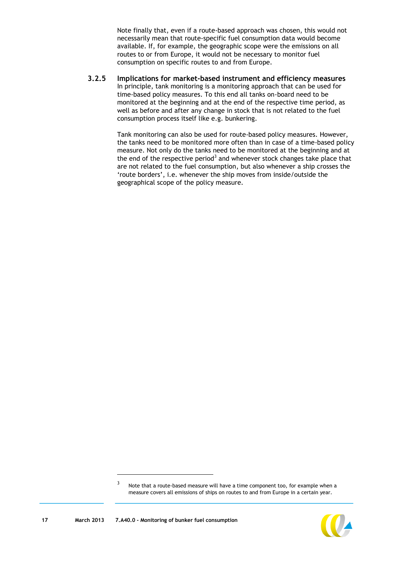Note finally that, even if a route-based approach was chosen, this would not necessarily mean that route-specific fuel consumption data would become available. If, for example, the geographic scope were the emissions on all routes to or from Europe, it would not be necessary to monitor fuel consumption on specific routes to and from Europe.

**3.2.5 Implications for market-based instrument and efficiency measures** In principle, tank monitoring is a monitoring approach that can be used for time-based policy measures. To this end all tanks on-board need to be monitored at the beginning and at the end of the respective time period, as well as before and after any change in stock that is not related to the fuel consumption process itself like e.g. bunkering.

> Tank monitoring can also be used for route-based policy measures. However, the tanks need to be monitored more often than in case of a time-based policy measure. Not only do the tanks need to be monitored at the beginning and at the end of the respective period<sup>3</sup> and whenever stock changes take place that are not related to the fuel consumption, but also whenever a ship crosses the 'route borders', i.e. whenever the ship moves from inside/outside the geographical scope of the policy measure.

<sup>3</sup> Note that a route-based measure will have a time component too, for example when a measure covers all emissions of ships on routes to and from Europe in a certain year.



 $\overline{a}$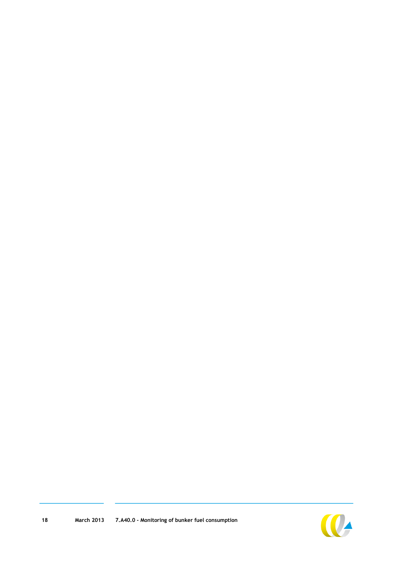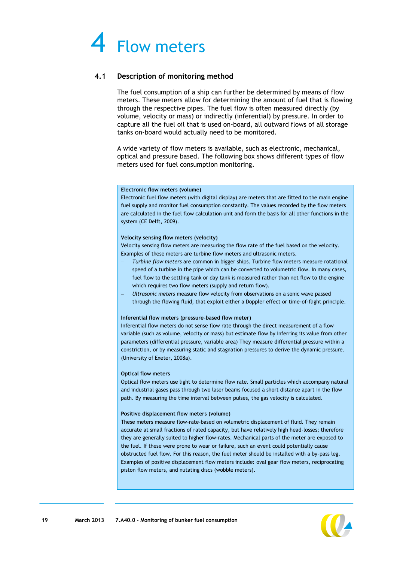<span id="page-18-0"></span>

#### <span id="page-18-1"></span>**4.1 Description of monitoring method**

The fuel consumption of a ship can further be determined by means of flow meters. These meters allow for determining the amount of fuel that is flowing through the respective pipes. The fuel flow is often measured directly (by volume, velocity or mass) or indirectly (inferential) by pressure. In order to capture all the fuel oil that is used on-board, all outward flows of all storage tanks on-board would actually need to be monitored.

A wide variety of flow meters is available, such as electronic, mechanical, optical and pressure based. The following box shows different types of flow meters used for fuel consumption monitoring.

#### **Electronic flow meters (volume)**

Electronic fuel flow meters (with digital display) are meters that are fitted to the main engine fuel supply and monitor fuel consumption constantly. The values recorded by the flow meters are calculated in the fuel flow calculation unit and form the basis for all other functions in the system (CE Delft, 2009).

#### **Velocity sensing flow meters (velocity)**

Velocity sensing flow meters are measuring the flow rate of the fuel based on the velocity. Examples of these meters are turbine flow meters and ultrasonic meters.

- *Turbine flow meters* are common in bigger ships. Turbine flow meters measure rotational speed of a turbine in the pipe which can be converted to volumetric flow. In many cases, fuel flow to the settling tank or day tank is measured rather than net flow to the engine which requires two flow meters (supply and return flow).
- *Ultrasonic meters* measure flow velocity from observations on a sonic wave passed through the flowing fluid, that exploit either a Doppler effect or time-of-flight principle.

#### **Inferential flow meters (pressure-based flow meter)**

Inferential flow meters do not sense flow rate through the direct measurement of a flow variable (such as volume, velocity or mass) but estimate flow by inferring its value from other parameters (differential pressure, variable area) They measure differential pressure within a constriction, or by measuring static and stagnation pressures to derive the dynamic pressure. (University of Exeter, 2008a).

#### **Optical flow meters**

Optical flow meters use light to determine flow rate. Small particles which accompany natural and industrial gases pass through two laser beams focused a short distance apart in the flow path. By measuring the time interval between pulses, the gas velocity is calculated.

#### **Positive displacement flow meters (volume)**

These meters measure flow-rate-based on volumetric displacement of fluid. They remain accurate at small fractions of rated capacity, but have relatively high head-losses; therefore they are generally suited to higher flow-rates. Mechanical parts of the meter are exposed to the fuel. If these were prone to wear or failure, such an event could potentially cause obstructed fuel flow. For this reason, the fuel meter should be installed with a by-pass leg. Examples of positive displacement flow meters include: oval gear flow meters, reciprocating piston flow meters, and nutating discs (wobble meters).

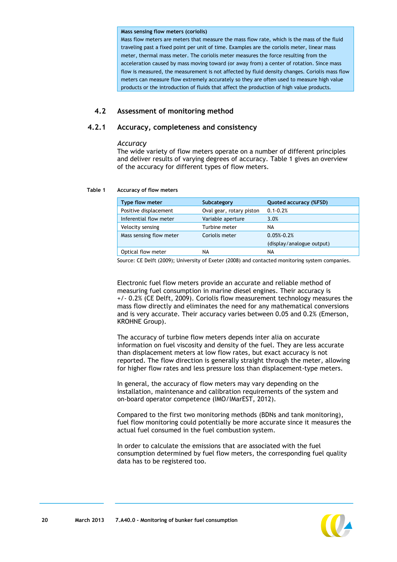#### **Mass sensing flow meters (coriolis)**

Mass flow meters are meters that measure the mass flow rate, which is the mass of the fluid traveling past a fixed point per unit of time. Examples are the coriolis meter, linear mass meter, thermal mass meter. The coriolis meter measures the force resulting from the acceleration caused by mass moving toward (or away from) a center of rotation. Since mass flow is measured, the measurement is not affected by fluid density changes. Coriolis mass flow meters can measure flow extremely accurately so they are often used to measure high value products or the introduction of fluids that affect the production of high value products.

#### <span id="page-19-0"></span>**4.2 Assessment of monitoring method**

#### **4.2.1 Accuracy, completeness and consistency**

#### *Accuracy*

The wide variety of flow meters operate on a number of different principles and deliver results of varying degrees of accuracy. [Table 1](#page-19-1) gives an overview of the accuracy for different types of flow meters.

#### <span id="page-19-1"></span>**Table 1 Accuracy of flow meters**

| Type flow meter         | Subcategory              | Quoted accuracy (%FSD)    |
|-------------------------|--------------------------|---------------------------|
| Positive displacement   | Oval gear, rotary piston | $0.1 - 0.2%$              |
| Inferential flow meter  | Variable aperture        | 3.0%                      |
| Velocity sensing        | Turbine meter            | NA                        |
| Mass sensing flow meter | Coriolis meter           | $0.05\% - 0.2\%$          |
|                         |                          | (display/analogue output) |
| Optical flow meter      | NA                       | NA                        |

Source: CE Delft (2009); University of Exeter (2008) and contacted monitoring system companies.

Electronic fuel flow meters provide an accurate and reliable method of measuring fuel consumption in marine diesel engines. Their accuracy is +/- 0.2% (CE Delft, 2009). Coriolis flow measurement technology measures the mass flow directly and eliminates the need for any mathematical conversions and is very accurate. Their accuracy varies between 0.05 and 0.2% (Emerson, KROHNE Group).

The accuracy of turbine flow meters depends inter alia on accurate information on fuel viscosity and density of the fuel. They are less accurate than displacement meters at low flow rates, but exact accuracy is not reported. The flow direction is generally straight through the meter, allowing for higher flow rates and less pressure loss than displacement-type meters.

In general, the accuracy of flow meters may vary depending on the installation, maintenance and calibration requirements of the system and on-board operator competence (IMO/IMarEST, 2012).

Compared to the first two monitoring methods (BDNs and tank monitoring), fuel flow monitoring could potentially be more accurate since it measures the actual fuel consumed in the fuel combustion system.

In order to calculate the emissions that are associated with the fuel consumption determined by fuel flow meters, the corresponding fuel quality data has to be registered too.

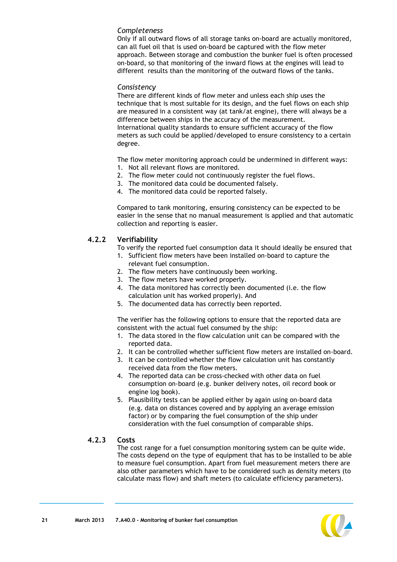#### *Completeness*

Only if all outward flows of all storage tanks on-board are actually monitored, can all fuel oil that is used on-board be captured with the flow meter approach. Between storage and combustion the bunker fuel is often processed on-board, so that monitoring of the inward flows at the engines will lead to different results than the monitoring of the outward flows of the tanks.

#### *Consistency*

There are different kinds of flow meter and unless each ship uses the technique that is most suitable for its design, and the fuel flows on each ship are measured in a consistent way (at tank/at engine), there will always be a difference between ships in the accuracy of the measurement. International quality standards to ensure sufficient accuracy of the flow meters as such could be applied/developed to ensure consistency to a certain degree.

The flow meter monitoring approach could be undermined in different ways:

- 1. Not all relevant flows are monitored.
- 2. The flow meter could not continuously register the fuel flows.
- 3. The monitored data could be documented falsely.
- 4. The monitored data could be reported falsely.

Compared to tank monitoring, ensuring consistency can be expected to be easier in the sense that no manual measurement is applied and that automatic collection and reporting is easier.

#### **4.2.2 Verifiability**

To verify the reported fuel consumption data it should ideally be ensured that

- 1. Sufficient flow meters have been installed on-board to capture the relevant fuel consumption.
- 2. The flow meters have continuously been working.
- 3. The flow meters have worked properly.
- 4. The data monitored has correctly been documented (i.e. the flow calculation unit has worked properly). And
- 5. The documented data has correctly been reported.

The verifier has the following options to ensure that the reported data are consistent with the actual fuel consumed by the ship:

- 1. The data stored in the flow calculation unit can be compared with the reported data.
- 2. It can be controlled whether sufficient flow meters are installed on-board.
- 3. It can be controlled whether the flow calculation unit has constantly received data from the flow meters.
- 4. The reported data can be cross-checked with other data on fuel consumption on-board (e.g. bunker delivery notes, oil record book or engine log book).
- 5. Plausibility tests can be applied either by again using on-board data (e.g. data on distances covered and by applying an average emission factor) or by comparing the fuel consumption of the ship under consideration with the fuel consumption of comparable ships.

#### **4.2.3 Costs**

The cost range for a fuel consumption monitoring system can be quite wide. The costs depend on the type of equipment that has to be installed to be able to measure fuel consumption. Apart from fuel measurement meters there are also other parameters which have to be considered such as density meters (to calculate mass flow) and shaft meters (to calculate efficiency parameters).

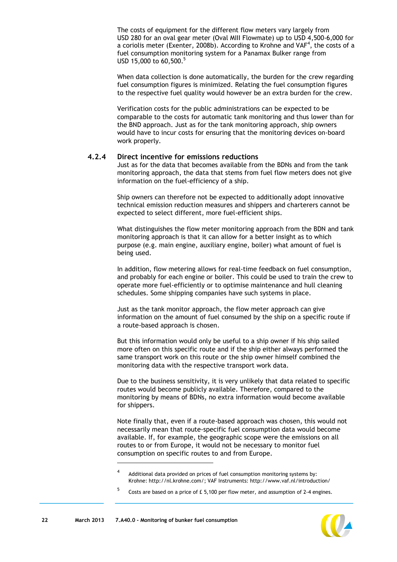The costs of equipment for the different flow meters vary largely from USD 280 for an oval gear meter (Oval MIII Flowmate) up to USD 4,500-6,000 for a coriolis meter (Exenter, 2008b). According to Krohne and VAF<sup>4</sup>, the costs of a fuel consumption monitoring system for a Panamax Bulker range from USD 15,000 to 60,500. 5

When data collection is done automatically, the burden for the crew regarding fuel consumption figures is minimized. Relating the fuel consumption figures to the respective fuel quality would however be an extra burden for the crew.

Verification costs for the public administrations can be expected to be comparable to the costs for automatic tank monitoring and thus lower than for the BND approach. Just as for the tank monitoring approach, ship owners would have to incur costs for ensuring that the monitoring devices on-board work properly.

#### **4.2.4 Direct incentive for emissions reductions**

Just as for the data that becomes available from the BDNs and from the tank monitoring approach, the data that stems from fuel flow meters does not give information on the fuel-efficiency of a ship.

Ship owners can therefore not be expected to additionally adopt innovative technical emission reduction measures and shippers and charterers cannot be expected to select different, more fuel-efficient ships.

What distinguishes the flow meter monitoring approach from the BDN and tank monitoring approach is that it can allow for a better insight as to which purpose (e.g. main engine, auxiliary engine, boiler) what amount of fuel is being used.

In addition, flow metering allows for real-time feedback on fuel consumption, and probably for each engine or boiler. This could be used to train the crew to operate more fuel-efficiently or to optimise maintenance and hull cleaning schedules. Some shipping companies have such systems in place.

Just as the tank monitor approach, the flow meter approach can give information on the amount of fuel consumed by the ship on a specific route if a route-based approach is chosen.

But this information would only be useful to a ship owner if his ship sailed more often on this specific route and if the ship either always performed the same transport work on this route or the ship owner himself combined the monitoring data with the respective transport work data.

Due to the business sensitivity, it is very unlikely that data related to specific routes would become publicly available. Therefore, compared to the monitoring by means of BDNs, no extra information would become available for shippers.

Note finally that, even if a route-based approach was chosen, this would not necessarily mean that route-specific fuel consumption data would become available. If, for example, the geographic scope were the emissions on all routes to or from Europe, it would not be necessary to monitor fuel consumption on specific routes to and from Europe.

1



<sup>4</sup> Additional data provided on prices of fuel consumption monitoring systems by: Krohne: http://nl.krohne.com/; VAF Instruments: http://www.vaf.nl/introduction/

<sup>5</sup> Costs are based on a price of £ 5,100 per flow meter, and assumption of 2-4 engines.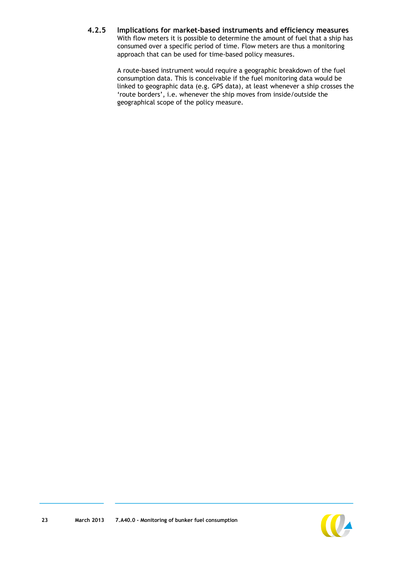**4.2.5 Implications for market-based instruments and efficiency measures** With flow meters it is possible to determine the amount of fuel that a ship has consumed over a specific period of time. Flow meters are thus a monitoring approach that can be used for time-based policy measures.

> A route-based instrument would require a geographic breakdown of the fuel consumption data. This is conceivable if the fuel monitoring data would be linked to geographic data (e.g. GPS data), at least whenever a ship crosses the 'route borders', i.e. whenever the ship moves from inside/outside the geographical scope of the policy measure.

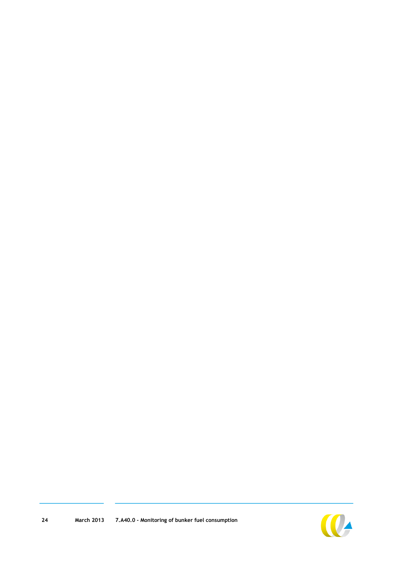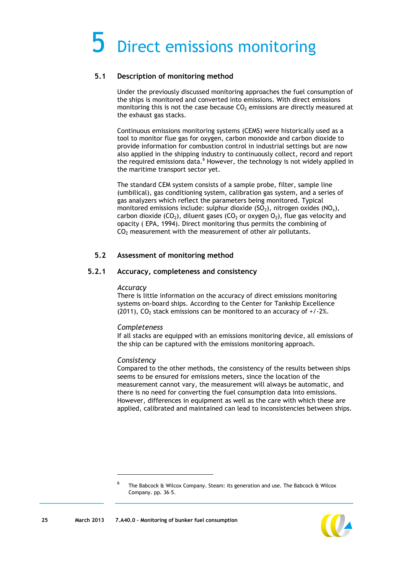# <span id="page-24-1"></span><span id="page-24-0"></span>**5.1 Description of monitoring method**

Under the previously discussed monitoring approaches the fuel consumption of the ships is monitored and converted into emissions. With direct emissions monitoring this is not the case because  $CO<sub>2</sub>$  emissions are directly measured at the exhaust gas stacks.

Continuous emissions monitoring systems (CEMS) were historically used as a tool to monitor flue gas for oxygen, carbon monoxide and carbon dioxide to provide information for combustion control in industrial settings but are now also applied in the shipping industry to continuously collect, record and report the required emissions data.<sup>6</sup> However, the technology is not widely applied in the maritime transport sector yet.

The standard CEM system consists of a sample probe, filter, sample line (umbilical), gas conditioning system, calibration gas system, and a series of gas analyzers which reflect the parameters being monitored. Typical monitored emissions include: sulphur dioxide  $(SO<sub>2</sub>)$ , nitrogen oxides  $(NO<sub>x</sub>)$ , carbon dioxide (CO<sub>2</sub>), diluent gases (CO<sub>2</sub> or oxygen O<sub>2</sub>), flue gas velocity and opacity ( EPA, 1994). Direct monitoring thus permits the combining of  $CO<sub>2</sub>$  measurement with the measurement of other air pollutants.

# <span id="page-24-2"></span>**5.2 Assessment of monitoring method**

#### **5.2.1 Accuracy, completeness and consistency**

#### *Accuracy*

There is little information on the accuracy of direct emissions monitoring systems on-board ships. According to the Center for Tankship Excellence (2011),  $CO<sub>2</sub>$  stack emissions can be monitored to an accuracy of  $+/-2\%$ .

#### *Completeness*

If all stacks are equipped with an emissions monitoring device, all emissions of the ship can be captured with the emissions monitoring approach.

#### *Consistency*

Compared to the other methods, the consistency of the results between ships seems to be ensured for emissions meters, since the location of the measurement cannot vary, the measurement will always be automatic, and there is no need for converting the fuel consumption data into emissions. However, differences in equipment as well as the care with which these are applied, calibrated and maintained can lead to inconsistencies between ships.

 $\overline{a}$ 

<sup>6</sup> The Babcock & Wilcox Company. Steam: its generation and use. The Babcock & Wilcox Company. pp. 36–5.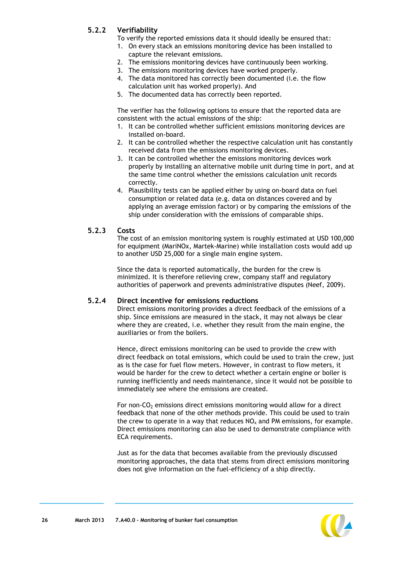# **5.2.2 Verifiability**

To verify the reported emissions data it should ideally be ensured that:

- 1. On every stack an emissions monitoring device has been installed to capture the relevant emissions.
- 2. The emissions monitoring devices have continuously been working.
- 3. The emissions monitoring devices have worked properly.
- 4. The data monitored has correctly been documented (i.e. the flow calculation unit has worked properly). And
- 5. The documented data has correctly been reported.

The verifier has the following options to ensure that the reported data are consistent with the actual emissions of the ship:

- 1. It can be controlled whether sufficient emissions monitoring devices are installed on-board.
- 2. It can be controlled whether the respective calculation unit has constantly received data from the emissions monitoring devices.
- 3. It can be controlled whether the emissions monitoring devices work properly by installing an alternative mobile unit during time in port, and at the same time control whether the emissions calculation unit records correctly.
- 4. Plausibility tests can be applied either by using on-board data on fuel consumption or related data (e.g. data on distances covered and by applying an average emission factor) or by comparing the emissions of the ship under consideration with the emissions of comparable ships.

#### **5.2.3 Costs**

The cost of an emission monitoring system is roughly estimated at USD 100,000 for equipment (MariNOx, Martek-Marine) while installation costs would add up to another USD 25,000 for a single main engine system.

Since the data is reported automatically, the burden for the crew is minimized. It is therefore relieving crew, company staff and regulatory authorities of paperwork and prevents administrative disputes (Neef, 2009).

#### **5.2.4 Direct incentive for emissions reductions**

Direct emissions monitoring provides a direct feedback of the emissions of a ship. Since emissions are measured in the stack, it may not always be clear where they are created, i.e. whether they result from the main engine, the auxiliaries or from the boilers.

Hence, direct emissions monitoring can be used to provide the crew with direct feedback on total emissions, which could be used to train the crew, just as is the case for fuel flow meters. However, in contrast to flow meters, it would be harder for the crew to detect whether a certain engine or boiler is running inefficiently and needs maintenance, since it would not be possible to immediately see where the emissions are created.

For non- $CO<sub>2</sub>$  emissions direct emissions monitoring would allow for a direct feedback that none of the other methods provide. This could be used to train the crew to operate in a way that reduces  $NO<sub>x</sub>$  and PM emissions, for example. Direct emissions monitoring can also be used to demonstrate compliance with ECA requirements.

Just as for the data that becomes available from the previously discussed monitoring approaches, the data that stems from direct emissions monitoring does not give information on the fuel-efficiency of a ship directly.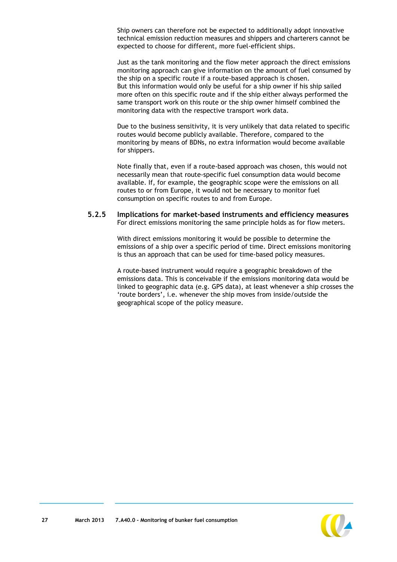Ship owners can therefore not be expected to additionally adopt innovative technical emission reduction measures and shippers and charterers cannot be expected to choose for different, more fuel-efficient ships.

Just as the tank monitoring and the flow meter approach the direct emissions monitoring approach can give information on the amount of fuel consumed by the ship on a specific route if a route-based approach is chosen. But this information would only be useful for a ship owner if his ship sailed more often on this specific route and if the ship either always performed the same transport work on this route or the ship owner himself combined the monitoring data with the respective transport work data.

Due to the business sensitivity, it is very unlikely that data related to specific routes would become publicly available. Therefore, compared to the monitoring by means of BDNs, no extra information would become available for shippers.

Note finally that, even if a route-based approach was chosen, this would not necessarily mean that route-specific fuel consumption data would become available. If, for example, the geographic scope were the emissions on all routes to or from Europe, it would not be necessary to monitor fuel consumption on specific routes to and from Europe.

#### **5.2.5 Implications for market-based instruments and efficiency measures**  For direct emissions monitoring the same principle holds as for flow meters.

With direct emissions monitoring it would be possible to determine the emissions of a ship over a specific period of time. Direct emissions monitoring is thus an approach that can be used for time-based policy measures.

A route-based instrument would require a geographic breakdown of the emissions data. This is conceivable if the emissions monitoring data would be linked to geographic data (e.g. GPS data), at least whenever a ship crosses the 'route borders', i.e. whenever the ship moves from inside/outside the geographical scope of the policy measure.

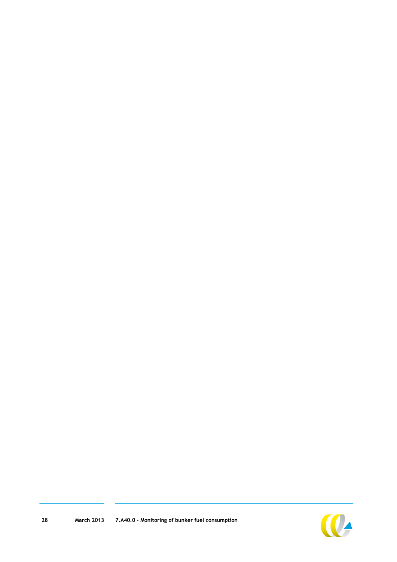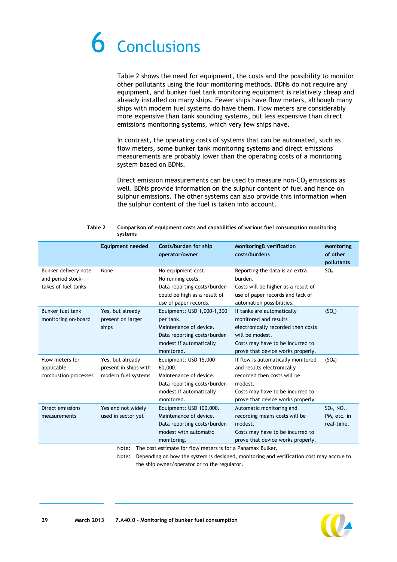# <span id="page-28-0"></span>**Conclusions**

[Table 2](#page-28-1) shows the need for equipment, the costs and the possibility to monitor other pollutants using the four monitoring methods. BDNs do not require any equipment, and bunker fuel tank monitoring equipment is relatively cheap and already installed on many ships. Fewer ships have flow meters, although many ships with modern fuel systems do have them. Flow meters are considerably more expensive than tank sounding systems, but less expensive than direct emissions monitoring systems, which very few ships have.

In contrast, the operating costs of systems that can be automated, such as flow meters, some bunker tank monitoring systems and direct emissions measurements are probably lower than the operating costs of a monitoring system based on BDNs.

Direct emission measurements can be used to measure non- $CO<sub>2</sub>$  emissions as well. BDNs provide information on the sulphur content of fuel and hence on sulphur emissions. The other systems can also provide this information when the sulphur content of the fuel is taken into account.

<span id="page-28-1"></span>

| <b>Equipment needed</b>                                          | Costs/burden for ship<br>operator/owner                                                                                                   | Monitoring& verification<br>costs/burdens                                                                                                                                             | Monitoring<br>of other<br>pollutants                            |
|------------------------------------------------------------------|-------------------------------------------------------------------------------------------------------------------------------------------|---------------------------------------------------------------------------------------------------------------------------------------------------------------------------------------|-----------------------------------------------------------------|
| None                                                             | No equipment cost.<br>No running costs.<br>Data reporting costs/burden<br>could be high as a result of<br>use of paper records.           | Reporting the data is an extra<br>burden.<br>Costs will be higher as a result of<br>use of paper records and lack of<br>automation possibilities.                                     | SO <sub>x</sub>                                                 |
| Yes, but already<br>present on larger<br>ships                   | Equipment: USD 1,000-1,300<br>per tank.<br>Maintenance of device.<br>Data reporting costs/burden<br>modest if automatically<br>monitored. | If tanks are automatically<br>monitored and results<br>electronically recorded then costs<br>will be modest.<br>Costs may have to be incurred to<br>prove that device works properly. | $(SO_x)$                                                        |
| Yes, but already<br>present in ships with<br>modern fuel systems | Equipment: USD 15,000-<br>60,000.<br>Maintenance of device.<br>Data reporting costs/burden<br>modest if automatically<br>monitored.       | If flow is automatically monitored<br>and results electronically<br>recorded then costs will be<br>modest.<br>Costs may have to be incurred to<br>prove that device works properly.   | $(SO_x)$                                                        |
| Yes and not widely<br>used in sector yet                         | Equipment: USD 100,000.<br>Maintenance of device.<br>Data reporting costs/burden<br>modest with automatic<br>monitoring.                  | Automatic monitoring and<br>recording means costs will be<br>modest.<br>Costs may have to be incurred to<br>prove that device works properly.                                         | $SO_{x}$ , $NO_{x}$ ,<br>PM, etc. in<br>real-time.              |
|                                                                  |                                                                                                                                           |                                                                                                                                                                                       | Nota: The cost ostimate for flow motors is for a Danamay Bulker |

#### **Table 2 Comparison of equipment costs and capabilities of various fuel consumption monitoring systems**

The cost estimate for flow meters is for a Panamax Bulker.

Note: Depending on how the system is designed, monitoring and verification cost may accrue to the ship owner/operator or to the regulator.

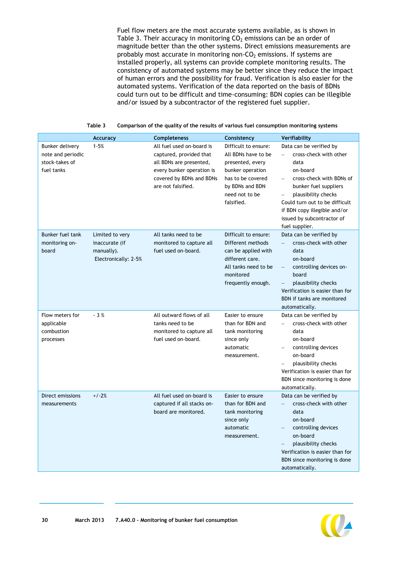Fuel flow meters are the most accurate systems available, as is shown in [Table 3.](#page-29-0) Their accuracy in monitoring  $CO<sub>2</sub>$  emissions can be an order of magnitude better than the other systems. Direct emissions measurements are probably most accurate in monitoring non- $CO<sub>2</sub>$  emissions. If systems are installed properly, all systems can provide complete monitoring results. The consistency of automated systems may be better since they reduce the impact of human errors and the possibility for fraud. Verification is also easier for the automated systems. Verification of the data reported on the basis of BDNs could turn out to be difficult and time-consuming: BDN copies can be illegible and/or issued by a subcontractor of the registered fuel supplier.

<span id="page-29-0"></span>

|                                                                      | <b>Accuracy</b>                                                         | Completeness                                                                                                                                                   | Consistency                                                                                                                                                 | Verifiability                                                                                                                                                                                                                                                                            |
|----------------------------------------------------------------------|-------------------------------------------------------------------------|----------------------------------------------------------------------------------------------------------------------------------------------------------------|-------------------------------------------------------------------------------------------------------------------------------------------------------------|------------------------------------------------------------------------------------------------------------------------------------------------------------------------------------------------------------------------------------------------------------------------------------------|
| Bunker delivery<br>note and periodic<br>stock-takes of<br>fuel tanks | $1 - 5%$                                                                | All fuel used on-board is<br>captured, provided that<br>all BDNs are presented,<br>every bunker operation is<br>covered by BDNs and BDNs<br>are not falsified. | Difficult to ensure:<br>All BDNs have to be<br>presented, every<br>bunker operation<br>has to be covered<br>by BDNs and BDN<br>need not to be<br>falsified. | Data can be verified by<br>cross-check with other<br>data<br>on-board<br>cross-check with BDNs of<br>bunker fuel suppliers<br>plausibility checks<br>$\qquad \qquad -$<br>Could turn out to be difficult<br>if BDN copy illegible and/or<br>issued by subcontractor of<br>fuel supplier. |
| <b>Bunker fuel tank</b><br>monitoring on-<br>board                   | Limited to very<br>inaccurate (if<br>manually).<br>Electronically: 2-5% | All tanks need to be<br>monitored to capture all<br>fuel used on-board.                                                                                        | Difficult to ensure:<br>Different methods<br>can be applied with<br>different care.<br>All tanks need to be<br>monitored<br>frequently enough.              | Data can be verified by<br>cross-check with other<br>data<br>on-board<br>controlling devices on-<br>$\equiv$<br>board<br>plausibility checks<br>$\qquad \qquad -$<br>Verification is easier than for<br>BDN if tanks are monitored<br>automatically.                                     |
| Flow meters for<br>applicable<br>combustion<br>processes             | $-3%$                                                                   | All outward flows of all<br>tanks need to be<br>monitored to capture all<br>fuel used on-board.                                                                | Easier to ensure<br>than for BDN and<br>tank monitoring<br>since only<br>automatic<br>measurement.                                                          | Data can be verified by<br>cross-check with other<br>data<br>on-board<br>controlling devices<br>on-board<br>plausibility checks<br>Verification is easier than for<br>BDN since monitoring is done<br>automatically.                                                                     |
| Direct emissions<br>measurements                                     | $+1 - 2%$                                                               | All fuel used on-board is<br>captured if all stacks on-<br>board are monitored.                                                                                | Easier to ensure<br>than for BDN and<br>tank monitoring<br>since only<br>automatic<br>measurement.                                                          | Data can be verified by<br>cross-check with other<br>$\equiv$<br>data<br>on-board<br>controlling devices<br>on-board<br>plausibility checks<br>Verification is easier than for<br>BDN since monitoring is done<br>automatically.                                                         |

#### **Table 3 Comparison of the quality of the results of various fuel consumption monitoring systems**

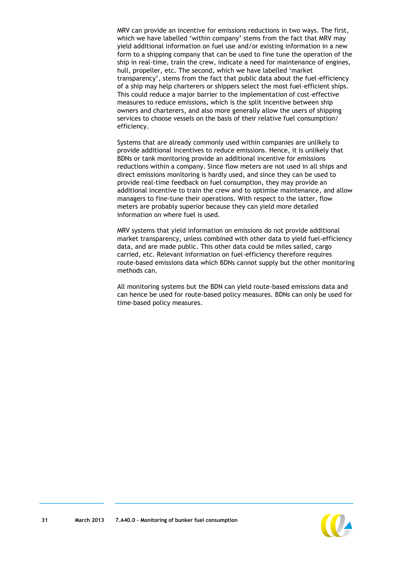MRV can provide an incentive for emissions reductions in two ways. The first, which we have labelled 'within company' stems from the fact that MRV may yield additional information on fuel use and/or existing information in a new form to a shipping company that can be used to fine tune the operation of the ship in real-time, train the crew, indicate a need for maintenance of engines, hull, propeller, etc. The second, which we have labelled 'market transparency', stems from the fact that public data about the fuel-efficiency of a ship may help charterers or shippers select the most fuel-efficient ships. This could reduce a major barrier to the implementation of cost-effective measures to reduce emissions, which is the split incentive between ship owners and charterers, and also more generally allow the users of shipping services to choose vessels on the basis of their relative fuel consumption/ efficiency.

Systems that are already commonly used within companies are unlikely to provide additional incentives to reduce emissions. Hence, it is unlikely that BDNs or tank monitoring provide an additional incentive for emissions reductions within a company. Since flow meters are not used in all ships and direct emissions monitoring is hardly used, and since they can be used to provide real-time feedback on fuel consumption, they may provide an additional incentive to train the crew and to optimise maintenance, and allow managers to fine-tune their operations. With respect to the latter, flow meters are probably superior because they can yield more detailed information on where fuel is used.

MRV systems that yield information on emissions do not provide additional market transparency, unless combined with other data to yield fuel-efficiency data, and are made public. This other data could be miles sailed, cargo carried, etc. Relevant information on fuel-efficiency therefore requires route-based emissions data which BDNs cannot supply but the other monitoring methods can.

All monitoring systems but the BDN can yield route-based emissions data and can hence be used for route-based policy measures. BDNs can only be used for time-based policy measures.

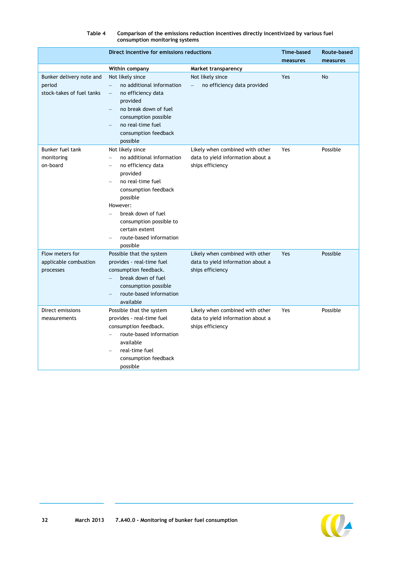#### **Table 4 Comparison of the emissions reduction incentives directly incentivized by various fuel consumption monitoring systems**

|                                                                 | Direct incentive for emissions reductions                                                                                                                                                                                                                      |                                                                                          | <b>Time-based</b><br>measures | Route-based<br>measures |
|-----------------------------------------------------------------|----------------------------------------------------------------------------------------------------------------------------------------------------------------------------------------------------------------------------------------------------------------|------------------------------------------------------------------------------------------|-------------------------------|-------------------------|
|                                                                 | Within company                                                                                                                                                                                                                                                 | Market transparency                                                                      |                               |                         |
| Bunker delivery note and<br>period<br>stock-takes of fuel tanks | Not likely since<br>no additional information<br>no efficiency data<br>provided<br>no break down of fuel<br>consumption possible<br>no real-time fuel<br>consumption feedback<br>possible                                                                      | Not likely since<br>no efficiency data provided                                          | Yes                           | <b>No</b>               |
| Bunker fuel tank<br>monitoring<br>on-board                      | Not likely since<br>no additional information<br>no efficiency data<br>provided<br>no real-time fuel<br>consumption feedback<br>possible<br>However:<br>break down of fuel<br>consumption possible to<br>certain extent<br>route-based information<br>possible | Likely when combined with other<br>data to yield information about a<br>ships efficiency | Yes                           | Possible                |
| Flow meters for<br>applicable combustion<br>processes           | Possible that the system<br>provides - real-time fuel<br>consumption feedback.<br>break down of fuel<br>consumption possible<br>route-based information<br>available                                                                                           | Likely when combined with other<br>data to yield information about a<br>ships efficiency | Yes                           | Possible                |
| Direct emissions<br>measurements                                | Possible that the system<br>provides - real-time fuel<br>consumption feedback.<br>route-based information<br>available<br>real-time fuel<br>consumption feedback<br>possible                                                                                   | Likely when combined with other<br>data to yield information about a<br>ships efficiency | Yes                           | Possible                |

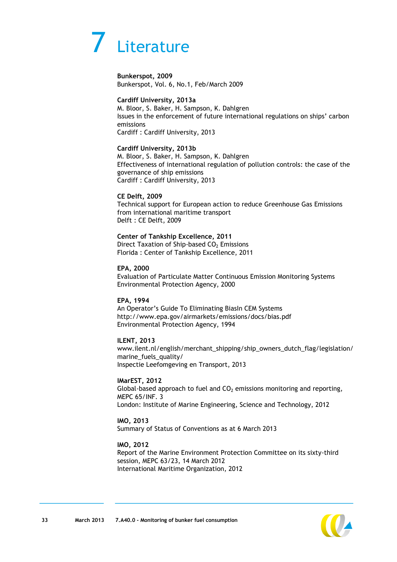# <span id="page-32-0"></span>7 Literature

**Bunkerspot, 2009** Bunkerspot, Vol. 6, No.1, Feb/March 2009

#### **Cardiff University, 2013a**

M. Bloor, S. Baker, H. Sampson, K. Dahlgren Issues in the enforcement of future international regulations on ships' carbon emissions Cardiff : Cardiff University, 2013

#### **Cardiff University, 2013b**

M. Bloor, S. Baker, H. Sampson, K. Dahlgren Effectiveness of international regulation of pollution controls: the case of the governance of ship emissions Cardiff : Cardiff University, 2013

#### **CE Delft, 2009**

Technical support for European action to reduce Greenhouse Gas Emissions from international maritime transport Delft : CE Delft, 2009

# **Center of Tankship Excellence, 2011**

Direct Taxation of Ship-based  $CO<sub>2</sub>$  Emissions Florida : Center of Tankship Excellence, 2011

**EPA, 2000**

Evaluation of Particulate Matter Continuous Emission Monitoring Systems Environmental Protection Agency, 2000

#### **EPA, 1994**

An Operator's Guide To Eliminating BiasIn CEM Systems http://www.epa.gov/airmarkets/emissions/docs/bias.pdf Environmental Protection Agency, 1994

#### **ILENT, 2013**

www.ilent.nl/english/merchant\_shipping/ship\_owners\_dutch\_flag/legislation/ marine\_fuels\_quality/ Inspectie Leefomgeving en Transport, 2013

#### **IMarEST, 2012**

Global-based approach to fuel and  $CO<sub>2</sub>$  emissions monitoring and reporting, MEPC 65/INF. 3 London: Institute of Marine Engineering, Science and Technology, 2012

# **IMO, 2013**

Summary of Status of Conventions as at 6 March 2013

#### **IMO, 2012**

Report of the Marine Environment Protection Committee on its sixty-third session, MEPC 63/23, 14 March 2012 International Maritime Organization, 2012